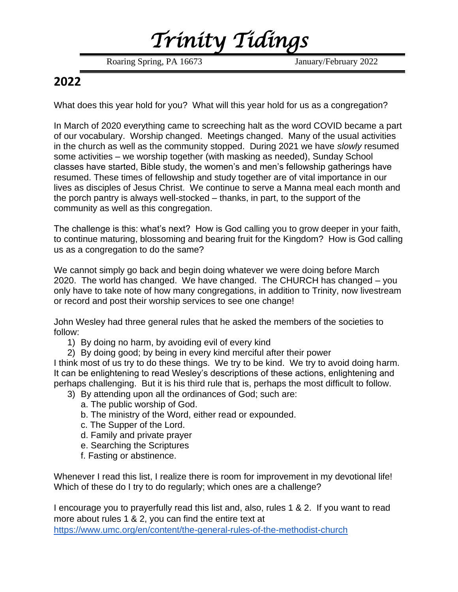*Trinity Tidings*

Roaring Spring, PA 16673 January/February 2022

# **2022**

What does this year hold for you? What will this year hold for us as a congregation?

In March of 2020 everything came to screeching halt as the word COVID became a part of our vocabulary. Worship changed. Meetings changed. Many of the usual activities in the church as well as the community stopped. During 2021 we have *slowly* resumed some activities – we worship together (with masking as needed), Sunday School classes have started, Bible study, the women's and men's fellowship gatherings have resumed. These times of fellowship and study together are of vital importance in our lives as disciples of Jesus Christ. We continue to serve a Manna meal each month and the porch pantry is always well-stocked – thanks, in part, to the support of the community as well as this congregation.

The challenge is this: what's next? How is God calling you to grow deeper in your faith, to continue maturing, blossoming and bearing fruit for the Kingdom? How is God calling us as a congregation to do the same?

We cannot simply go back and begin doing whatever we were doing before March 2020. The world has changed. We have changed. The CHURCH has changed – you only have to take note of how many congregations, in addition to Trinity, now livestream or record and post their worship services to see one change!

John Wesley had three general rules that he asked the members of the societies to follow:

- 1) By doing no harm, by avoiding evil of every kind
- 2) By doing good; by being in every kind merciful after their power

I think most of us try to do these things. We try to be kind. We try to avoid doing harm. It can be enlightening to read Wesley's descriptions of these actions, enlightening and perhaps challenging. But it is his third rule that is, perhaps the most difficult to follow.

- 3) By attending upon all the ordinances of God; such are:
	- a. The public worship of God.
	- b. The ministry of the Word, either read or expounded.
	- c. The Supper of the Lord.
	- d. Family and private prayer
	- e. Searching the Scriptures
	- f. Fasting or abstinence.

Whenever I read this list, I realize there is room for improvement in my devotional life! Which of these do I try to do regularly; which ones are a challenge?

I encourage you to prayerfully read this list and, also, rules 1 & 2. If you want to read more about rules 1 & 2, you can find the entire text at <https://www.umc.org/en/content/the-general-rules-of-the-methodist-church>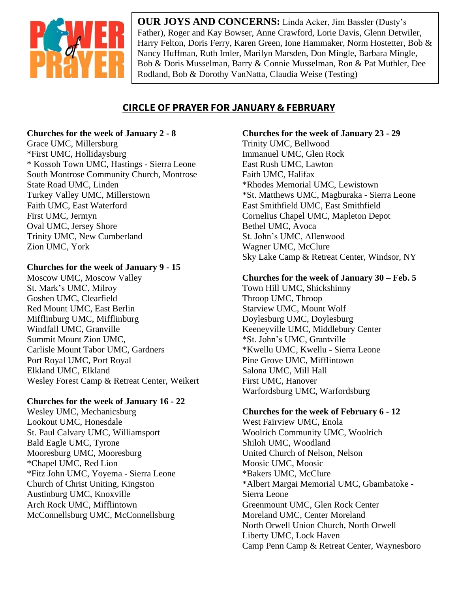

**OUR JOYS AND CONCERNS:** Linda Acker, Jim Bassler (Dusty's Father), Roger and Kay Bowser, Anne Crawford, Lorie Davis, Glenn Detwiler, Harry Felton, Doris Ferry, Karen Green, Ione Hammaker, Norm Hostetter, Bob & Nancy Huffman, Ruth Imler, Marilyn Marsden, Don Mingle, Barbara Mingle, Bob & Doris Musselman, Barry & Connie Musselman, Ron & Pat Muthler, Dee Rodland, Bob & Dorothy VanNatta, Claudia Weise (Testing)

# **CIRCLE OF PRAYER FOR JANUARY & FEBRUARY**

#### **Churches for the week of January 2 - 8**

Grace UMC, Millersburg \*First UMC, Hollidaysburg \* Kossoh Town UMC, Hastings - Sierra Leone South Montrose Community Church, Montrose State Road UMC, Linden Turkey Valley UMC, Millerstown Faith UMC, East Waterford First UMC, Jermyn Oval UMC, Jersey Shore Trinity UMC, New Cumberland Zion UMC, York

### **Churches for the week of January 9 - 15**

Moscow UMC, Moscow Valley St. Mark's UMC, Milroy Goshen UMC, Clearfield Red Mount UMC, East Berlin Mifflinburg UMC, Mifflinburg Windfall UMC, Granville Summit Mount Zion UMC, Carlisle Mount Tabor UMC, Gardners Port Royal UMC, Port Royal Elkland UMC, Elkland Wesley Forest Camp & Retreat Center, Weikert

### **Churches for the week of January 16 - 22**

Wesley UMC, Mechanicsburg Lookout UMC, Honesdale St. Paul Calvary UMC, Williamsport Bald Eagle UMC, Tyrone Mooresburg UMC, Mooresburg \*Chapel UMC, Red Lion \*Fitz John UMC, Yoyema - Sierra Leone Church of Christ Uniting, Kingston Austinburg UMC, Knoxville Arch Rock UMC, Mifflintown McConnellsburg UMC, McConnellsburg

### **Churches for the week of January 23 - 29**

Trinity UMC, Bellwood Immanuel UMC, Glen Rock East Rush UMC, Lawton Faith UMC, Halifax \*Rhodes Memorial UMC, Lewistown \*St. Matthews UMC, Magburaka - Sierra Leone East Smithfield UMC, East Smithfield Cornelius Chapel UMC, Mapleton Depot Bethel UMC, Avoca St. John's UMC, Allenwood Wagner UMC, McClure Sky Lake Camp & Retreat Center, Windsor, NY

### **Churches for the week of January 30 – Feb. 5**

Town Hill UMC, Shickshinny Throop UMC, Throop Starview UMC, Mount Wolf Doylesburg UMC, Doylesburg Keeneyville UMC, Middlebury Center \*St. John's UMC, Grantville \*Kwellu UMC, Kwellu - Sierra Leone Pine Grove UMC, Mifflintown Salona UMC, Mill Hall First UMC, Hanover Warfordsburg UMC, Warfordsburg

### **Churches for the week of February 6 - 12**

West Fairview UMC, Enola Woolrich Community UMC, Woolrich Shiloh UMC, Woodland United Church of Nelson, Nelson Moosic UMC, Moosic \*Bakers UMC, McClure \*Albert Margai Memorial UMC, Gbambatoke - Sierra Leone Greenmount UMC, Glen Rock Center Moreland UMC, Center Moreland North Orwell Union Church, North Orwell Liberty UMC, Lock Haven Camp Penn Camp & Retreat Center, Waynesboro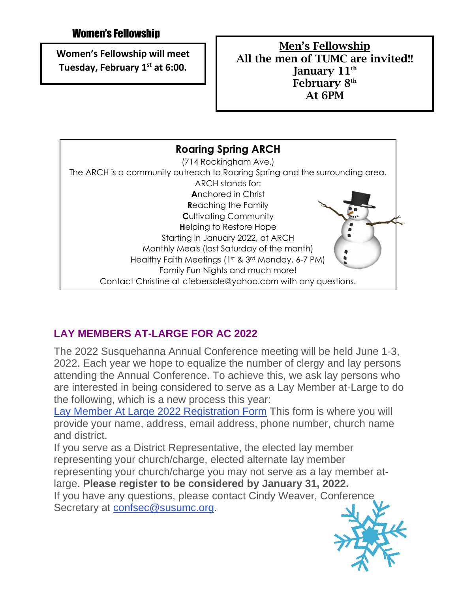**Women's Fellowship will meet Tuesday, February 1st at 6:00.**

Men's Fellowship All the men of TUMC are invited!! January 11<sup>th</sup> February 8<sup>th</sup> At 6PM



# **LAY MEMBERS AT-LARGE FOR AC 2022**

The 2022 Susquehanna Annual Conference meeting will be held June 1-3, 2022. Each year we hope to equalize the number of clergy and lay persons attending the Annual Conference. To achieve this, we ask lay persons who are interested in being considered to serve as a Lay Member at-Large to do the following, which is a new process this year:

[Lay Member At Large 2022 Registration Form](https://mail.atlanticbbn.net/SRedirect/A28AD1A4/susumc.us19.list-manage.com/track/click?u=46f000aa27de6426a3e2286a3&id=14c3a6ba71&e=80040b43ba) This form is where you will provide your name, address, email address, phone number, church name and district.

If you serve as a District Representative, the elected lay member representing your church/charge, elected alternate lay member representing your church/charge you may not serve as a lay member atlarge. **Please register to be considered by January 31, 2022.** If you have any questions, please contact Cindy Weaver, Conference Secretary at [confsec@susumc.org.](mailto:confsec@susumc.org)

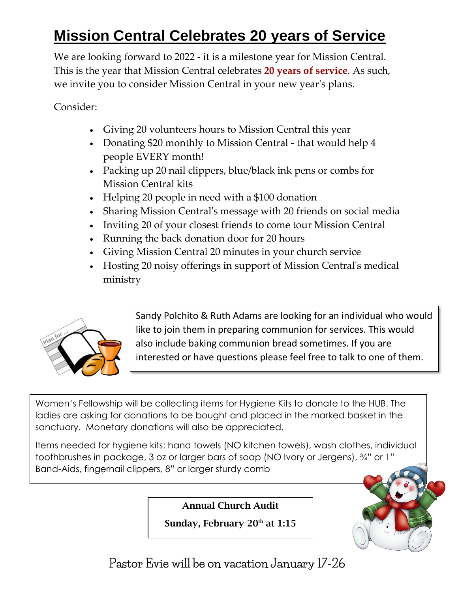# **Mission Central Celebrates 20 years of Service**

We are looking forward to 2022 - it is a milestone year for Mission Central. This is the year that Mission Central celebrates **20 years of service**. As such, we invite you to consider Mission Central in your new year's plans.

Consider:

- Giving 20 volunteers hours to Mission Central this year
- Donating \$20 monthly to Mission Central that would help 4 people EVERY month!
- Packing up 20 nail clippers, blue/black ink pens or combs for Mission Central kits
- Helping 20 people in need with a \$100 donation
- Sharing Mission Central's message with 20 friends on social media
- Inviting 20 of your closest friends to come tour Mission Central
- Running the back donation door for 20 hours
- Giving Mission Central 20 minutes in your church service
- Hosting 20 noisy offerings in support of Mission Central's medical ministry



Sandy Polchito & Ruth Adams are looking for an individual who would like to join them in preparing communion for services. This would also include baking communion bread sometimes. If you are interested or have questions please feel free to talk to one of them.

Women's Fellowship will be collecting items for Hygiene Kits to donate to the HUB. The ladies are asking for donations to be bought and placed in the marked basket in the sanctuary. Monetary donations will also be appreciated.

Items needed for hygiene kits: hand towels (NO kitchen towels), wash clothes, individual toothbrushes in package, 3 oz or larger bars of soap (NO Ivory or Jergens), ¾" or 1" Band-Aids, fingernail clippers, 8" or larger sturdy comb

Annual Church Audit

Sunday, February  $20<sup>th</sup>$  at 1:15



**Pastor Evie will be on vacation January 17-26**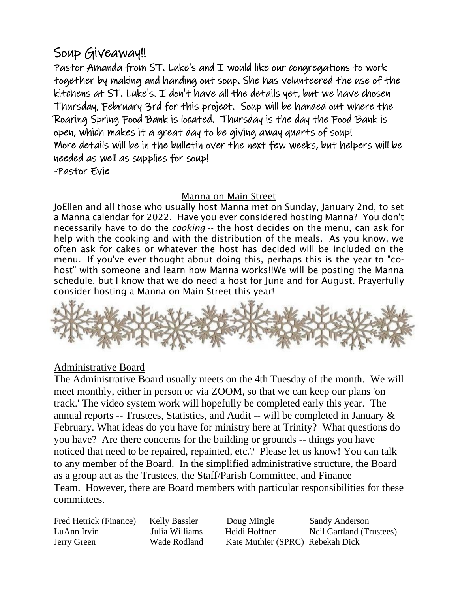# Soup Giveaway!!

Pastor Amanda from ST. Luke's and I would like our congregations to work together by making and handing out soup. She has volunteered the use of the kitchens at ST. Luke's. I don't have all the details yet, but we have chosen Thursday, February 3rd for this project. Soup will be handed out where the Roaring Spring Food Bank is located. Thursday is the day the Food Bank is open, which makes it a great day to be giving away quarts of soup! More details will be in the bulletin over the next few weeks, but helpers will be needed as well as supplies for soup! -Pastor Evie

## Manna on Main Street

JoEllen and all those who usually host Manna met on Sunday, January 2nd, to set a Manna calendar for 2022. Have you ever considered hosting Manna? You don't necessarily have to do the *cooking* -- the host decides on the menu, can ask for help with the cooking and with the distribution of the meals. As you know, we often ask for cakes or whatever the host has decided will be included on the menu. If you've ever thought about doing this, perhaps this is the year to "cohost" with someone and learn how Manna works!!We will be posting the Manna schedule, but I know that we do need a host for June and for August. Prayerfully consider hosting a Manna on Main Street this year!



## Administrative Board

The Administrative Board usually meets on the 4th Tuesday of the month. We will meet monthly, either in person or via ZOOM, so that we can keep our plans 'on track.' The video system work will hopefully be completed early this year. The annual reports -- Trustees, Statistics, and Audit -- will be completed in January & February. What ideas do you have for ministry here at Trinity? What questions do you have? Are there concerns for the building or grounds -- things you have noticed that need to be repaired, repainted, etc.? Please let us know! You can talk to any member of the Board. In the simplified administrative structure, the Board as a group act as the Trustees, the Staff/Parish Committee, and Finance Team. However, there are Board members with particular responsibilities for these committees.

Fred Hetrick (Finance) Kelly Bassler Doug Mingle Sandy Anderson LuAnn Irvin Julia Williams Heidi Hoffner Neil Gartland (Trustees) Jerry Green Wade Rodland Kate Muthler (SPRC) Rebekah Dick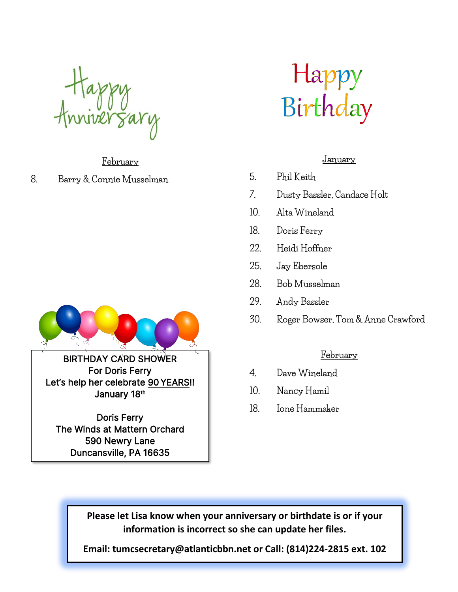Happy<br>Anniversary

**February**

## **8. Barry & Connie Musselman**



BIRTHDAY CARD SHOWER For Doris Ferry Let's help her celebrate 90 YEARS!! January 18<sup>th</sup>

Doris Ferry The Winds at Mattern Orchard 590 Newry Lane Duncansville, PA 16635



## **January**

- **5. Phil Keith**
- **7. Dusty Bassler, Candace Holt**
- **10. Alta Wineland**
- **18. Doris Ferry**
- **22. Heidi Hoffner**
- **25. Jay Ebersole**
- **28. Bob Musselman**
- **29. Andy Bassler**
- **30. Roger Bowser, Tom & Anne Crawford**

### **February**

- **4. Dave Wineland**
- **10. Nancy Hamil**
- **18. Ione Hammaker**

**Please let Lisa know when your anniversary or birthdate is or if your information is incorrect so she can update her files.**

**Email: tumcsecretary@atlanticbbn.net or Call: (814)224-2815 ext. 102**